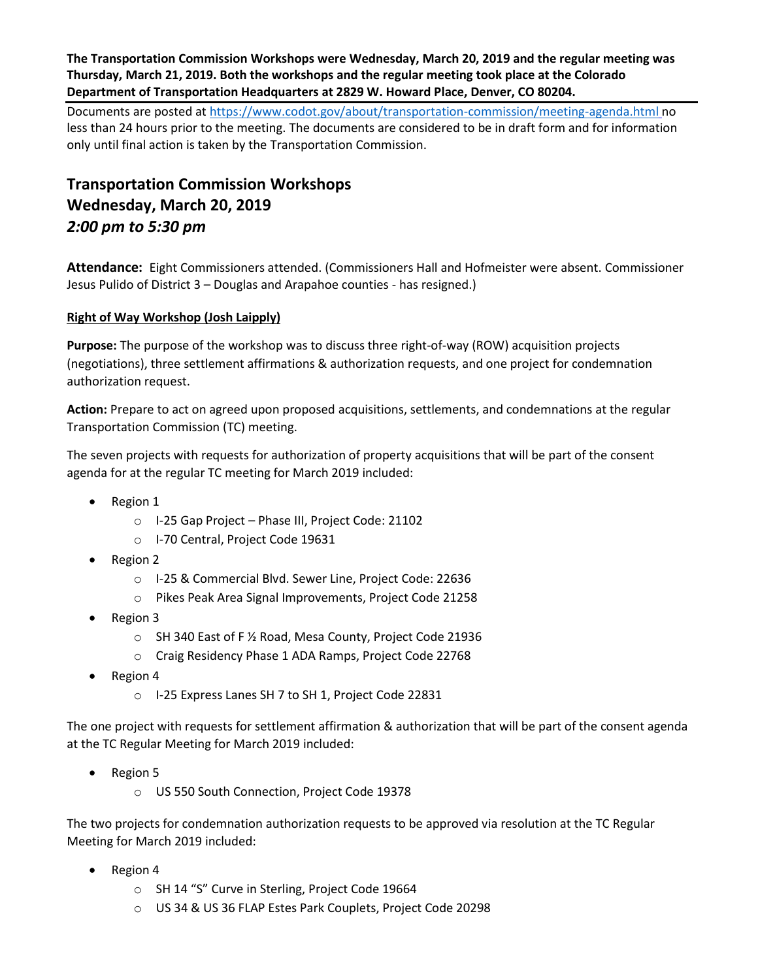**The Transportation Commission Workshops were Wednesday, March 20, 2019 and the regular meeting was Thursday, March 21, 2019. Both the workshops and the regular meeting took place at the Colorado Department of Transportation Headquarters at 2829 W. Howard Place, Denver, CO 80204.**

Documents are posted at<https://www.codot.gov/about/transportation-commission/meeting-agenda.html> no less than 24 hours prior to the meeting. The documents are considered to be in draft form and for information only until final action is taken by the Transportation Commission.

# **Transportation Commission Workshops Wednesday, March 20, 2019** *2:00 pm to 5:30 pm*

**Attendance:** Eight Commissioners attended. (Commissioners Hall and Hofmeister were absent. Commissioner Jesus Pulido of District 3 – Douglas and Arapahoe counties - has resigned.)

#### **[Right of Way Workshop \(Josh Laipply\)](https://www.codot.gov/about/transportation-commission/documents/2018-agendas-and-supporting-documents/december-2018/tc-row-2018-12-final.pdf)**

**Purpose:** The purpose of the workshop was to discuss three right-of-way (ROW) acquisition projects (negotiations), three settlement affirmations & authorization requests, and one project for condemnation authorization request.

**Action:** Prepare to act on agreed upon proposed acquisitions, settlements, and condemnations at the regular Transportation Commission (TC) meeting.

The seven projects with requests for authorization of property acquisitions that will be part of the consent agenda for at the regular TC meeting for March 2019 included:

- Region 1
	- o I-25 Gap Project Phase III, Project Code: 21102
	- o I-70 Central, Project Code 19631
- Region 2
	- o I-25 & Commercial Blvd. Sewer Line, Project Code: 22636
	- o Pikes Peak Area Signal Improvements, Project Code 21258
- Region 3
	- o SH 340 East of F ½ Road, Mesa County, Project Code 21936
	- o Craig Residency Phase 1 ADA Ramps, Project Code 22768
- Region 4
	- o I-25 Express Lanes SH 7 to SH 1, Project Code 22831

The one project with requests for settlement affirmation & authorization that will be part of the consent agenda at the TC Regular Meeting for March 2019 included:

- Region 5
	- o US 550 South Connection, Project Code 19378

The two projects for condemnation authorization requests to be approved via resolution at the TC Regular Meeting for March 2019 included:

- Region 4
	- o SH 14 "S" Curve in Sterling, Project Code 19664
	- o US 34 & US 36 FLAP Estes Park Couplets, Project Code 20298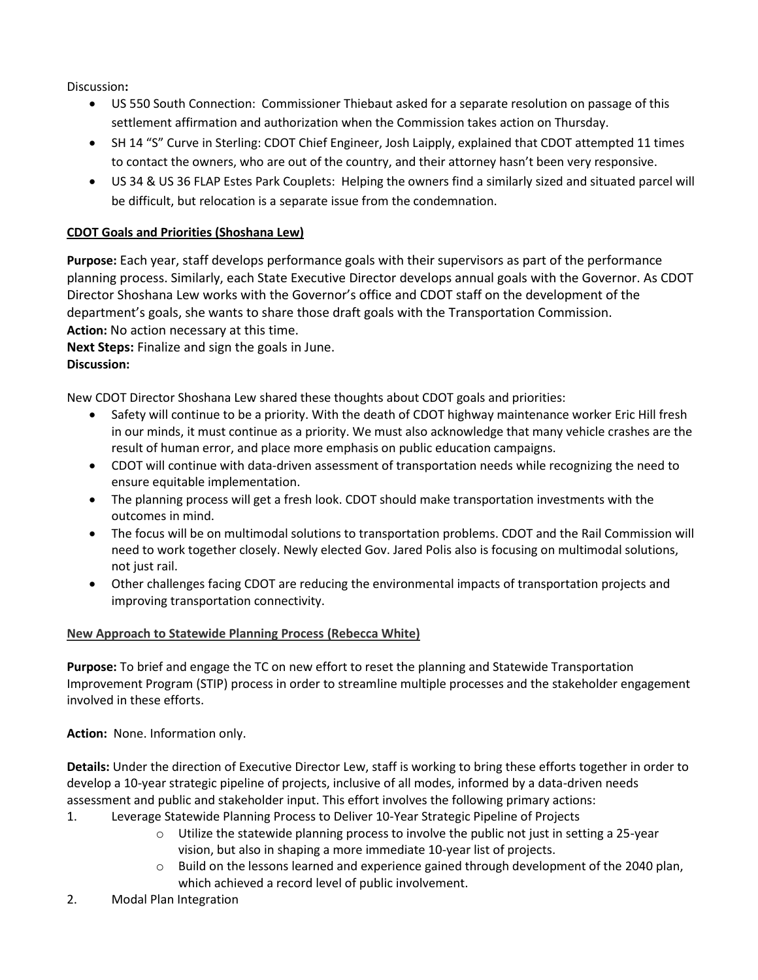Discussion**:**

- US 550 South Connection: Commissioner Thiebaut asked for a separate resolution on passage of this settlement affirmation and authorization when the Commission takes action on Thursday.
- SH 14 "S" Curve in Sterling: CDOT Chief Engineer, Josh Laipply, explained that CDOT attempted 11 times to contact the owners, who are out of the country, and their attorney hasn't been very responsive.
- US 34 & US 36 FLAP Estes Park Couplets: Helping the owners find a similarly sized and situated parcel will be difficult, but relocation is a separate issue from the condemnation.

## **CDOT Goals and Priorities (Shoshana Lew)**

**Purpose:** Each year, staff develops performance goals with their supervisors as part of the performance planning process. Similarly, each State Executive Director develops annual goals with the Governor. As CDOT Director Shoshana Lew works with the Governor's office and CDOT staff on the development of the department's goals, she wants to share those draft goals with the Transportation Commission. **Action:** No action necessary at this time.

**Next Steps:** Finalize and sign the goals in June. **Discussion:**

New CDOT Director Shoshana Lew shared these thoughts about CDOT goals and priorities:

- Safety will continue to be a priority. With the death of CDOT highway maintenance worker Eric Hill fresh in our minds, it must continue as a priority. We must also acknowledge that many vehicle crashes are the result of human error, and place more emphasis on public education campaigns.
- CDOT will continue with data-driven assessment of transportation needs while recognizing the need to ensure equitable implementation.
- The planning process will get a fresh look. CDOT should make transportation investments with the outcomes in mind.
- The focus will be on multimodal solutions to transportation problems. CDOT and the Rail Commission will need to work together closely. Newly elected Gov. Jared Polis also is focusing on multimodal solutions, not just rail.
- Other challenges facing CDOT are reducing the environmental impacts of transportation projects and improving transportation connectivity.

## **New Approach to Statewide Planning Process (Rebecca White)**

**Purpose:** To brief and engage the TC on new effort to reset the planning and Statewide Transportation Improvement Program (STIP) process in order to streamline multiple processes and the stakeholder engagement involved in these efforts.

**Action:** None. Information only.

**Details:** Under the direction of Executive Director Lew, staff is working to bring these efforts together in order to develop a 10-year strategic pipeline of projects, inclusive of all modes, informed by a data-driven needs assessment and public and stakeholder input. This effort involves the following primary actions:

- 1. Leverage Statewide Planning Process to Deliver 10-Year Strategic Pipeline of Projects
	- $\circ$  Utilize the statewide planning process to involve the public not just in setting a 25-year vision, but also in shaping a more immediate 10-year list of projects.
	- $\circ$  Build on the lessons learned and experience gained through development of the 2040 plan, which achieved a record level of public involvement.
- 2. Modal Plan Integration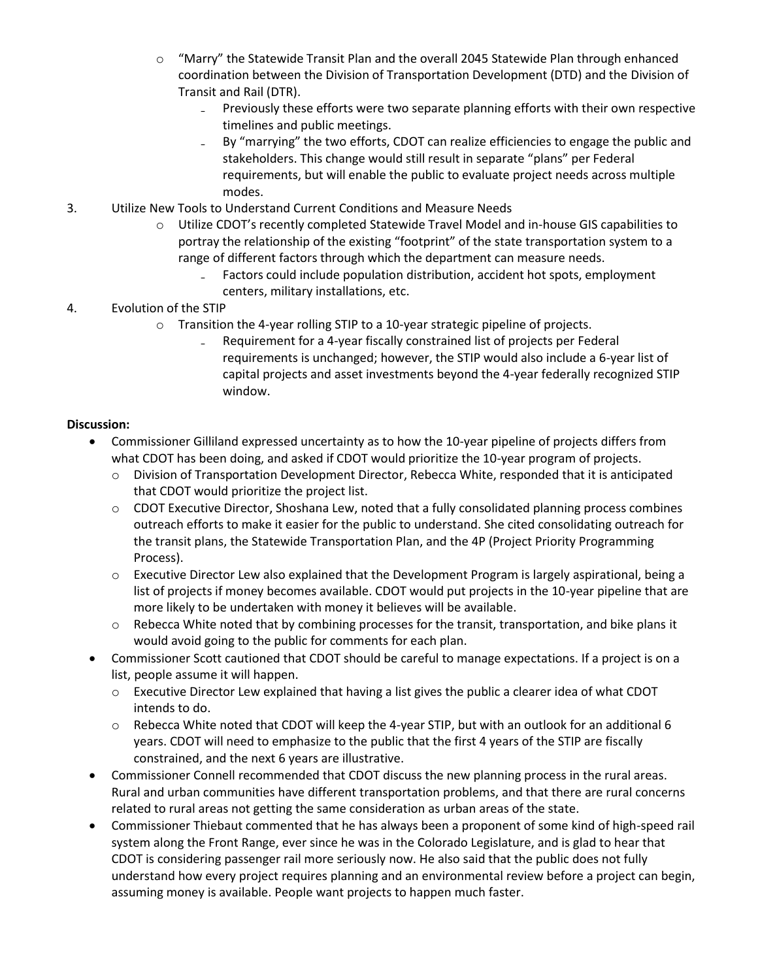- o "Marry" the Statewide Transit Plan and the overall 2045 Statewide Plan through enhanced coordination between the Division of Transportation Development (DTD) and the Division of Transit and Rail (DTR).
	- Previously these efforts were two separate planning efforts with their own respective timelines and public meetings.
	- By "marrying" the two efforts, CDOT can realize efficiencies to engage the public and stakeholders. This change would still result in separate "plans" per Federal requirements, but will enable the public to evaluate project needs across multiple modes.
- 3. Utilize New Tools to Understand Current Conditions and Measure Needs
	- Utilize CDOT's recently completed Statewide Travel Model and in-house GIS capabilities to portray the relationship of the existing "footprint" of the state transportation system to a range of different factors through which the department can measure needs.
		- Factors could include population distribution, accident hot spots, employment centers, military installations, etc.

## 4. Evolution of the STIP

- $\circ$  Transition the 4-year rolling STIP to a 10-year strategic pipeline of projects.
	- ₋ Requirement for a 4-year fiscally constrained list of projects per Federal requirements is unchanged; however, the STIP would also include a 6-year list of capital projects and asset investments beyond the 4-year federally recognized STIP window.

- Commissioner Gilliland expressed uncertainty as to how the 10-year pipeline of projects differs from what CDOT has been doing, and asked if CDOT would prioritize the 10-year program of projects.
	- o Division of Transportation Development Director, Rebecca White, responded that it is anticipated that CDOT would prioritize the project list.
	- o CDOT Executive Director, Shoshana Lew, noted that a fully consolidated planning process combines outreach efforts to make it easier for the public to understand. She cited consolidating outreach for the transit plans, the Statewide Transportation Plan, and the 4P (Project Priority Programming Process).
	- $\circ$  Executive Director Lew also explained that the Development Program is largely aspirational, being a list of projects if money becomes available. CDOT would put projects in the 10-year pipeline that are more likely to be undertaken with money it believes will be available.
	- o Rebecca White noted that by combining processes for the transit, transportation, and bike plans it would avoid going to the public for comments for each plan.
- Commissioner Scott cautioned that CDOT should be careful to manage expectations. If a project is on a list, people assume it will happen.
	- $\circ$  Executive Director Lew explained that having a list gives the public a clearer idea of what CDOT intends to do.
	- o Rebecca White noted that CDOT will keep the 4-year STIP, but with an outlook for an additional 6 years. CDOT will need to emphasize to the public that the first 4 years of the STIP are fiscally constrained, and the next 6 years are illustrative.
- Commissioner Connell recommended that CDOT discuss the new planning process in the rural areas. Rural and urban communities have different transportation problems, and that there are rural concerns related to rural areas not getting the same consideration as urban areas of the state.
- Commissioner Thiebaut commented that he has always been a proponent of some kind of high-speed rail system along the Front Range, ever since he was in the Colorado Legislature, and is glad to hear that CDOT is considering passenger rail more seriously now. He also said that the public does not fully understand how every project requires planning and an environmental review before a project can begin, assuming money is available. People want projects to happen much faster.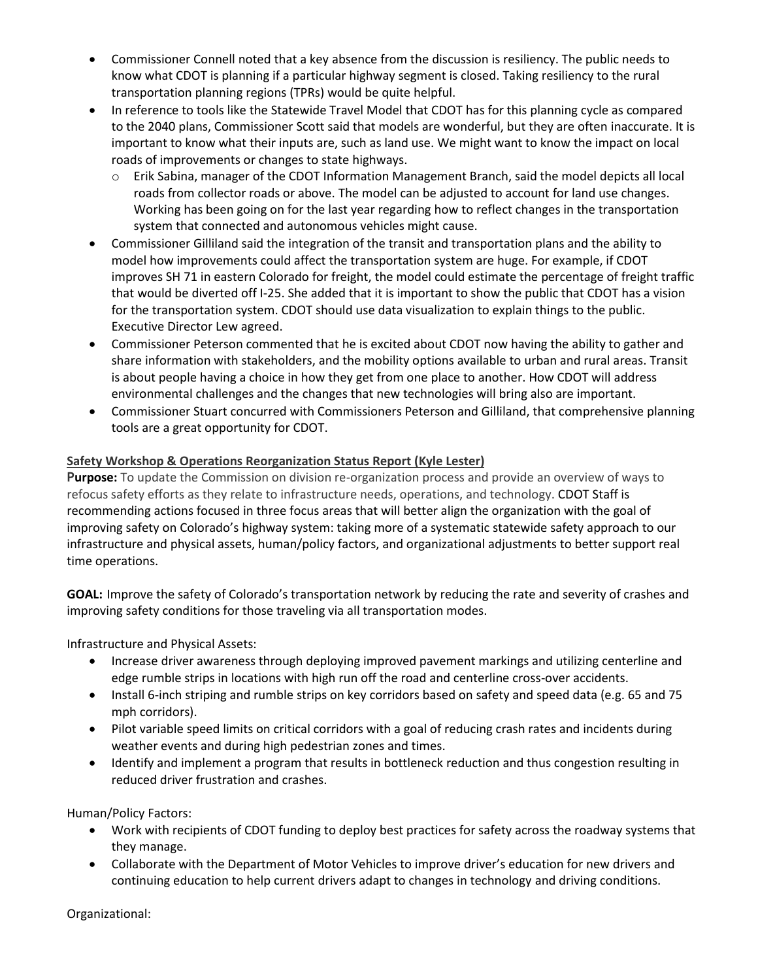- Commissioner Connell noted that a key absence from the discussion is resiliency. The public needs to know what CDOT is planning if a particular highway segment is closed. Taking resiliency to the rural transportation planning regions (TPRs) would be quite helpful.
- In reference to tools like the Statewide Travel Model that CDOT has for this planning cycle as compared to the 2040 plans, Commissioner Scott said that models are wonderful, but they are often inaccurate. It is important to know what their inputs are, such as land use. We might want to know the impact on local roads of improvements or changes to state highways.
	- o Erik Sabina, manager of the CDOT Information Management Branch, said the model depicts all local roads from collector roads or above. The model can be adjusted to account for land use changes. Working has been going on for the last year regarding how to reflect changes in the transportation system that connected and autonomous vehicles might cause.
- Commissioner Gilliland said the integration of the transit and transportation plans and the ability to model how improvements could affect the transportation system are huge. For example, if CDOT improves SH 71 in eastern Colorado for freight, the model could estimate the percentage of freight traffic that would be diverted off I-25. She added that it is important to show the public that CDOT has a vision for the transportation system. CDOT should use data visualization to explain things to the public. Executive Director Lew agreed.
- Commissioner Peterson commented that he is excited about CDOT now having the ability to gather and share information with stakeholders, and the mobility options available to urban and rural areas. Transit is about people having a choice in how they get from one place to another. How CDOT will address environmental challenges and the changes that new technologies will bring also are important.
- Commissioner Stuart concurred with Commissioners Peterson and Gilliland, that comprehensive planning tools are a great opportunity for CDOT.

# **Safety Workshop & Operations Reorganization Status Report (Kyle Lester)**

**Purpose:** To update the Commission on division re-organization process and provide an overview of ways to refocus safety efforts as they relate to infrastructure needs, operations, and technology. CDOT Staff is recommending actions focused in three focus areas that will better align the organization with the goal of improving safety on Colorado's highway system: taking more of a systematic statewide safety approach to our infrastructure and physical assets, human/policy factors, and organizational adjustments to better support real time operations.

**GOAL:** Improve the safety of Colorado's transportation network by reducing the rate and severity of crashes and improving safety conditions for those traveling via all transportation modes.

Infrastructure and Physical Assets:

- Increase driver awareness through deploying improved pavement markings and utilizing centerline and edge rumble strips in locations with high run off the road and centerline cross-over accidents.
- Install 6-inch striping and rumble strips on key corridors based on safety and speed data (e.g. 65 and 75 mph corridors).
- Pilot variable speed limits on critical corridors with a goal of reducing crash rates and incidents during weather events and during high pedestrian zones and times.
- Identify and implement a program that results in bottleneck reduction and thus congestion resulting in reduced driver frustration and crashes.

Human/Policy Factors:

- Work with recipients of CDOT funding to deploy best practices for safety across the roadway systems that they manage.
- Collaborate with the Department of Motor Vehicles to improve driver's education for new drivers and continuing education to help current drivers adapt to changes in technology and driving conditions.

Organizational: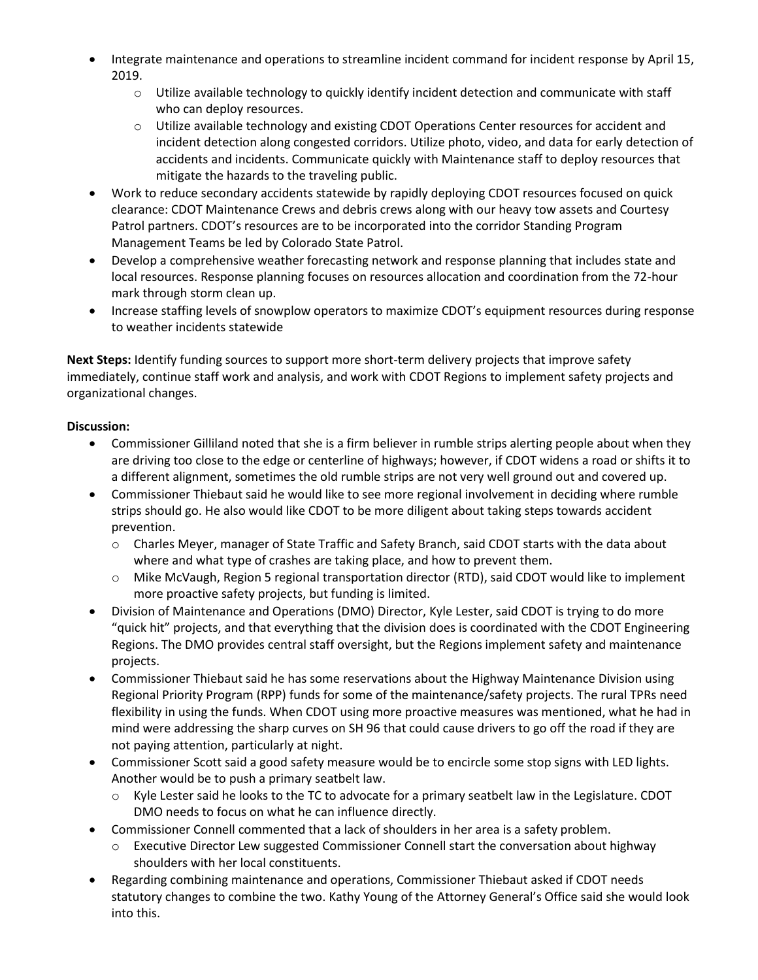- Integrate maintenance and operations to streamline incident command for incident response by April 15, 2019.
	- $\circ$  Utilize available technology to quickly identify incident detection and communicate with staff who can deploy resources.
	- $\circ$  Utilize available technology and existing CDOT Operations Center resources for accident and incident detection along congested corridors. Utilize photo, video, and data for early detection of accidents and incidents. Communicate quickly with Maintenance staff to deploy resources that mitigate the hazards to the traveling public.
- Work to reduce secondary accidents statewide by rapidly deploying CDOT resources focused on quick clearance: CDOT Maintenance Crews and debris crews along with our heavy tow assets and Courtesy Patrol partners. CDOT's resources are to be incorporated into the corridor Standing Program Management Teams be led by Colorado State Patrol.
- Develop a comprehensive weather forecasting network and response planning that includes state and local resources. Response planning focuses on resources allocation and coordination from the 72-hour mark through storm clean up.
- Increase staffing levels of snowplow operators to maximize CDOT's equipment resources during response to weather incidents statewide

**Next Steps:** Identify funding sources to support more short-term delivery projects that improve safety immediately, continue staff work and analysis, and work with CDOT Regions to implement safety projects and organizational changes.

- Commissioner Gilliland noted that she is a firm believer in rumble strips alerting people about when they are driving too close to the edge or centerline of highways; however, if CDOT widens a road or shifts it to a different alignment, sometimes the old rumble strips are not very well ground out and covered up.
- Commissioner Thiebaut said he would like to see more regional involvement in deciding where rumble strips should go. He also would like CDOT to be more diligent about taking steps towards accident prevention.
	- o Charles Meyer, manager of State Traffic and Safety Branch, said CDOT starts with the data about where and what type of crashes are taking place, and how to prevent them.
	- o Mike McVaugh, Region 5 regional transportation director (RTD), said CDOT would like to implement more proactive safety projects, but funding is limited.
- Division of Maintenance and Operations (DMO) Director, Kyle Lester, said CDOT is trying to do more "quick hit" projects, and that everything that the division does is coordinated with the CDOT Engineering Regions. The DMO provides central staff oversight, but the Regions implement safety and maintenance projects.
- Commissioner Thiebaut said he has some reservations about the Highway Maintenance Division using Regional Priority Program (RPP) funds for some of the maintenance/safety projects. The rural TPRs need flexibility in using the funds. When CDOT using more proactive measures was mentioned, what he had in mind were addressing the sharp curves on SH 96 that could cause drivers to go off the road if they are not paying attention, particularly at night.
- Commissioner Scott said a good safety measure would be to encircle some stop signs with LED lights. Another would be to push a primary seatbelt law.
	- o Kyle Lester said he looks to the TC to advocate for a primary seatbelt law in the Legislature. CDOT DMO needs to focus on what he can influence directly.
- Commissioner Connell commented that a lack of shoulders in her area is a safety problem.
	- $\circ$  Executive Director Lew suggested Commissioner Connell start the conversation about highway shoulders with her local constituents.
- Regarding combining maintenance and operations, Commissioner Thiebaut asked if CDOT needs statutory changes to combine the two. Kathy Young of the Attorney General's Office said she would look into this.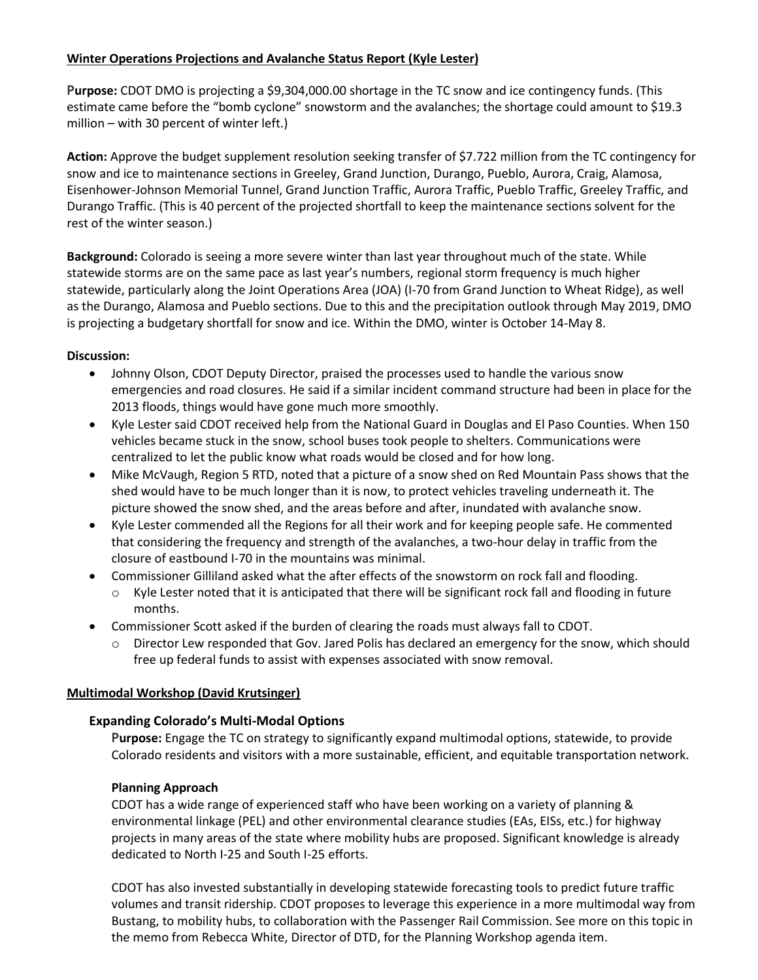#### **Winter Operations Projections and Avalanche Status Report (Kyle Lester)**

**Purpose:** CDOT DMO is projecting a \$9,304,000.00 shortage in the TC snow and ice contingency funds. (This estimate came before the "bomb cyclone" snowstorm and the avalanches; the shortage could amount to \$19.3 million – with 30 percent of winter left.)

**Action:** Approve the budget supplement resolution seeking transfer of \$7.722 million from the TC contingency for snow and ice to maintenance sections in Greeley, Grand Junction, Durango, Pueblo, Aurora, Craig, Alamosa, Eisenhower-Johnson Memorial Tunnel, Grand Junction Traffic, Aurora Traffic, Pueblo Traffic, Greeley Traffic, and Durango Traffic. (This is 40 percent of the projected shortfall to keep the maintenance sections solvent for the rest of the winter season.)

**Background:** Colorado is seeing a more severe winter than last year throughout much of the state. While statewide storms are on the same pace as last year's numbers, regional storm frequency is much higher statewide, particularly along the Joint Operations Area (JOA) (I-70 from Grand Junction to Wheat Ridge), as well as the Durango, Alamosa and Pueblo sections. Due to this and the precipitation outlook through May 2019, DMO is projecting a budgetary shortfall for snow and ice. Within the DMO, winter is October 14-May 8.

#### **Discussion:**

- Johnny Olson, CDOT Deputy Director, praised the processes used to handle the various snow emergencies and road closures. He said if a similar incident command structure had been in place for the 2013 floods, things would have gone much more smoothly.
- Kyle Lester said CDOT received help from the National Guard in Douglas and El Paso Counties. When 150 vehicles became stuck in the snow, school buses took people to shelters. Communications were centralized to let the public know what roads would be closed and for how long.
- Mike McVaugh, Region 5 RTD, noted that a picture of a snow shed on Red Mountain Pass shows that the shed would have to be much longer than it is now, to protect vehicles traveling underneath it. The picture showed the snow shed, and the areas before and after, inundated with avalanche snow.
- Kyle Lester commended all the Regions for all their work and for keeping people safe. He commented that considering the frequency and strength of the avalanches, a two-hour delay in traffic from the closure of eastbound I-70 in the mountains was minimal.
- Commissioner Gilliland asked what the after effects of the snowstorm on rock fall and flooding.
	- $\circ$  Kyle Lester noted that it is anticipated that there will be significant rock fall and flooding in future months.
- Commissioner Scott asked if the burden of clearing the roads must always fall to CDOT.
	- o Director Lew responded that Gov. Jared Polis has declared an emergency for the snow, which should free up federal funds to assist with expenses associated with snow removal.

#### **Multimodal Workshop (David Krutsinger)**

#### **Expanding Colorado's Multi-Modal Options**

**Purpose:** Engage the TC on strategy to significantly expand multimodal options, statewide, to provide Colorado residents and visitors with a more sustainable, efficient, and equitable transportation network.

#### **Planning Approach**

CDOT has a wide range of experienced staff who have been working on a variety of planning & environmental linkage (PEL) and other environmental clearance studies (EAs, EISs, etc.) for highway projects in many areas of the state where mobility hubs are proposed. Significant knowledge is already dedicated to North I-25 and South I-25 efforts.

CDOT has also invested substantially in developing statewide forecasting tools to predict future traffic volumes and transit ridership. CDOT proposes to leverage this experience in a more multimodal way from Bustang, to mobility hubs, to collaboration with the Passenger Rail Commission. See more on this topic in the memo from Rebecca White, Director of DTD, for the Planning Workshop agenda item.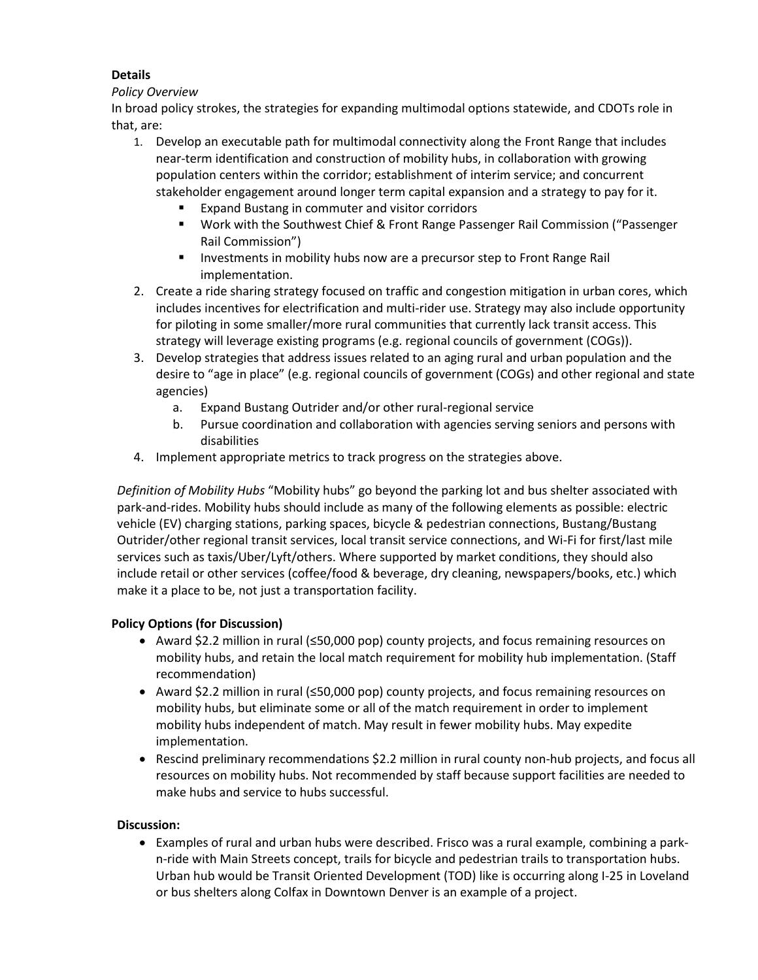# **Details**

#### *Policy Overview*

In broad policy strokes, the strategies for expanding multimodal options statewide, and CDOTs role in that, are:

- 1. Develop an executable path for multimodal connectivity along the Front Range that includes near-term identification and construction of mobility hubs, in collaboration with growing population centers within the corridor; establishment of interim service; and concurrent stakeholder engagement around longer term capital expansion and a strategy to pay for it.
	- Expand Bustang in commuter and visitor corridors
	- Work with the Southwest Chief & Front Range Passenger Rail Commission ("Passenger Rail Commission")
	- **Investments in mobility hubs now are a precursor step to Front Range Rail** implementation.
- 2. Create a ride sharing strategy focused on traffic and congestion mitigation in urban cores, which includes incentives for electrification and multi-rider use. Strategy may also include opportunity for piloting in some smaller/more rural communities that currently lack transit access. This strategy will leverage existing programs (e.g. regional councils of government (COGs)).
- 3. Develop strategies that address issues related to an aging rural and urban population and the desire to "age in place" (e.g. regional councils of government (COGs) and other regional and state agencies)
	- a. Expand Bustang Outrider and/or other rural-regional service
	- b. Pursue coordination and collaboration with agencies serving seniors and persons with disabilities
- 4. Implement appropriate metrics to track progress on the strategies above.

*Definition of Mobility Hubs* "Mobility hubs" go beyond the parking lot and bus shelter associated with park-and-rides. Mobility hubs should include as many of the following elements as possible: electric vehicle (EV) charging stations, parking spaces, bicycle & pedestrian connections, Bustang/Bustang Outrider/other regional transit services, local transit service connections, and Wi-Fi for first/last mile services such as taxis/Uber/Lyft/others. Where supported by market conditions, they should also include retail or other services (coffee/food & beverage, dry cleaning, newspapers/books, etc.) which make it a place to be, not just a transportation facility.

## **Policy Options (for Discussion)**

- Award \$2.2 million in rural (≤50,000 pop) county projects, and focus remaining resources on mobility hubs, and retain the local match requirement for mobility hub implementation. (Staff recommendation)
- Award \$2.2 million in rural (≤50,000 pop) county projects, and focus remaining resources on mobility hubs, but eliminate some or all of the match requirement in order to implement mobility hubs independent of match. May result in fewer mobility hubs. May expedite implementation.
- Rescind preliminary recommendations \$2.2 million in rural county non-hub projects, and focus all resources on mobility hubs. Not recommended by staff because support facilities are needed to make hubs and service to hubs successful.

## **Discussion:**

 Examples of rural and urban hubs were described. Frisco was a rural example, combining a parkn-ride with Main Streets concept, trails for bicycle and pedestrian trails to transportation hubs. Urban hub would be Transit Oriented Development (TOD) like is occurring along I-25 in Loveland or bus shelters along Colfax in Downtown Denver is an example of a project.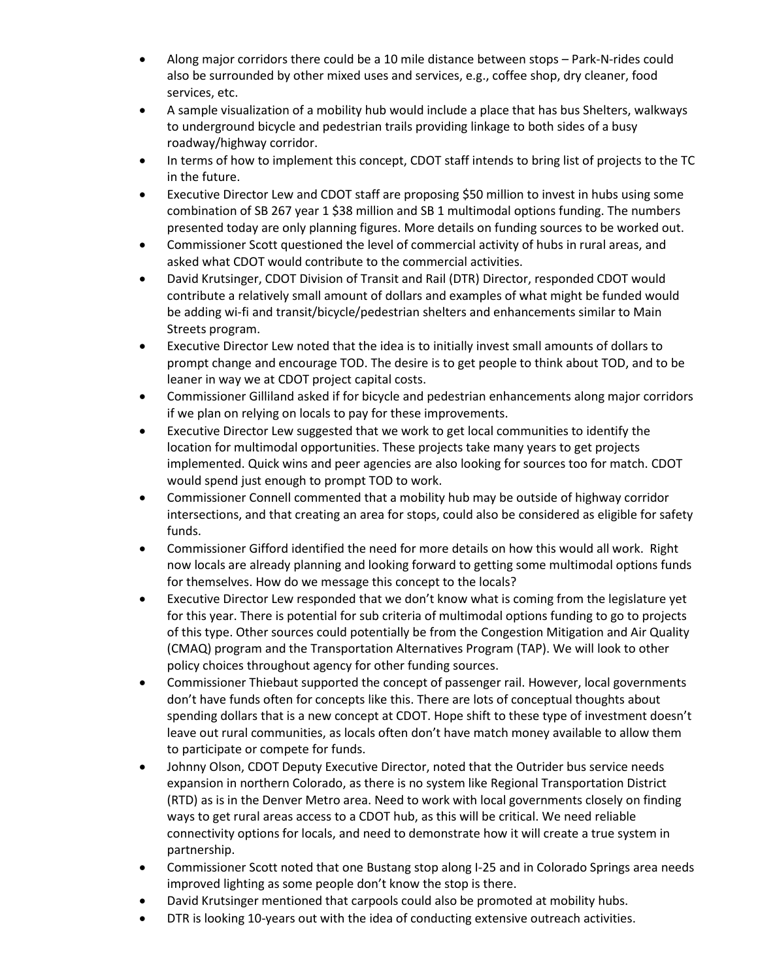- Along major corridors there could be a 10 mile distance between stops Park-N-rides could also be surrounded by other mixed uses and services, e.g., coffee shop, dry cleaner, food services, etc.
- A sample visualization of a mobility hub would include a place that has bus Shelters, walkways to underground bicycle and pedestrian trails providing linkage to both sides of a busy roadway/highway corridor.
- In terms of how to implement this concept, CDOT staff intends to bring list of projects to the TC in the future.
- Executive Director Lew and CDOT staff are proposing \$50 million to invest in hubs using some combination of SB 267 year 1 \$38 million and SB 1 multimodal options funding. The numbers presented today are only planning figures. More details on funding sources to be worked out.
- Commissioner Scott questioned the level of commercial activity of hubs in rural areas, and asked what CDOT would contribute to the commercial activities.
- David Krutsinger, CDOT Division of Transit and Rail (DTR) Director, responded CDOT would contribute a relatively small amount of dollars and examples of what might be funded would be adding wi-fi and transit/bicycle/pedestrian shelters and enhancements similar to Main Streets program.
- Executive Director Lew noted that the idea is to initially invest small amounts of dollars to prompt change and encourage TOD. The desire is to get people to think about TOD, and to be leaner in way we at CDOT project capital costs.
- Commissioner Gilliland asked if for bicycle and pedestrian enhancements along major corridors if we plan on relying on locals to pay for these improvements.
- Executive Director Lew suggested that we work to get local communities to identify the location for multimodal opportunities. These projects take many years to get projects implemented. Quick wins and peer agencies are also looking for sources too for match. CDOT would spend just enough to prompt TOD to work.
- Commissioner Connell commented that a mobility hub may be outside of highway corridor intersections, and that creating an area for stops, could also be considered as eligible for safety funds.
- Commissioner Gifford identified the need for more details on how this would all work. Right now locals are already planning and looking forward to getting some multimodal options funds for themselves. How do we message this concept to the locals?
- Executive Director Lew responded that we don't know what is coming from the legislature yet for this year. There is potential for sub criteria of multimodal options funding to go to projects of this type. Other sources could potentially be from the Congestion Mitigation and Air Quality (CMAQ) program and the Transportation Alternatives Program (TAP). We will look to other policy choices throughout agency for other funding sources.
- Commissioner Thiebaut supported the concept of passenger rail. However, local governments don't have funds often for concepts like this. There are lots of conceptual thoughts about spending dollars that is a new concept at CDOT. Hope shift to these type of investment doesn't leave out rural communities, as locals often don't have match money available to allow them to participate or compete for funds.
- Johnny Olson, CDOT Deputy Executive Director, noted that the Outrider bus service needs expansion in northern Colorado, as there is no system like Regional Transportation District (RTD) as is in the Denver Metro area. Need to work with local governments closely on finding ways to get rural areas access to a CDOT hub, as this will be critical. We need reliable connectivity options for locals, and need to demonstrate how it will create a true system in partnership.
- Commissioner Scott noted that one Bustang stop along I-25 and in Colorado Springs area needs improved lighting as some people don't know the stop is there.
- David Krutsinger mentioned that carpools could also be promoted at mobility hubs.
- DTR is looking 10-years out with the idea of conducting extensive outreach activities.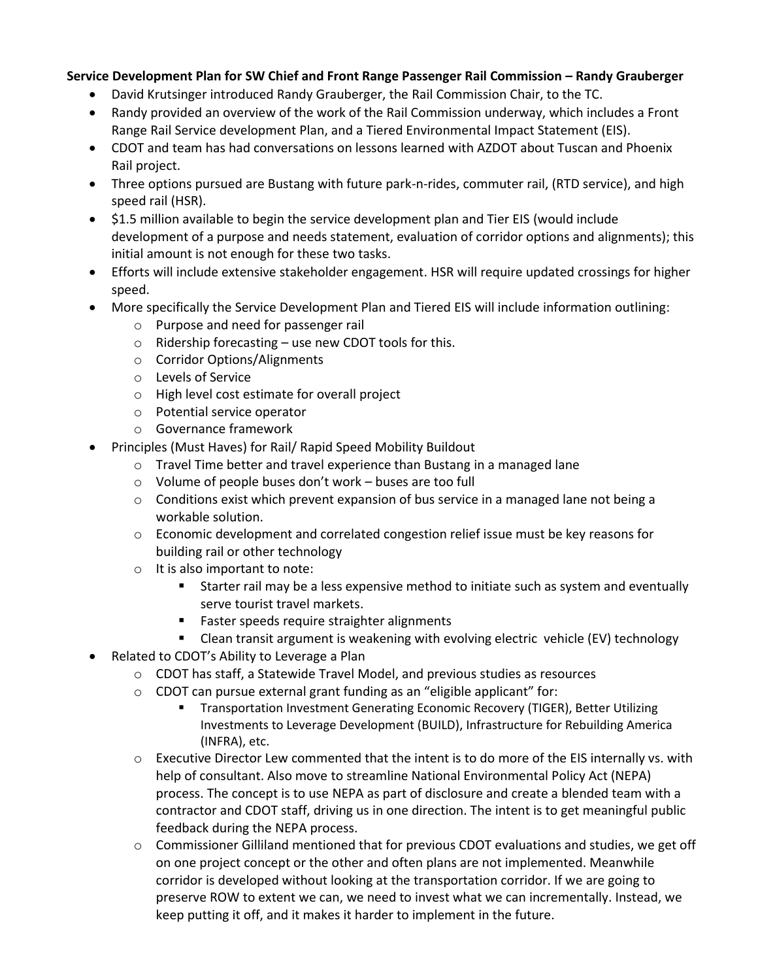## **Service Development Plan for SW Chief and Front Range Passenger Rail Commission – Randy Grauberger**

- David Krutsinger introduced Randy Grauberger, the Rail Commission Chair, to the TC.
- Randy provided an overview of the work of the Rail Commission underway, which includes a Front Range Rail Service development Plan, and a Tiered Environmental Impact Statement (EIS).
- CDOT and team has had conversations on lessons learned with AZDOT about Tuscan and Phoenix Rail project.
- Three options pursued are Bustang with future park-n-rides, commuter rail, (RTD service), and high speed rail (HSR).
- \$1.5 million available to begin the service development plan and Tier EIS (would include development of a purpose and needs statement, evaluation of corridor options and alignments); this initial amount is not enough for these two tasks.
- Efforts will include extensive stakeholder engagement. HSR will require updated crossings for higher speed.
- More specifically the Service Development Plan and Tiered EIS will include information outlining:
	- o Purpose and need for passenger rail
	- $\circ$  Ridership forecasting use new CDOT tools for this.
	- o Corridor Options/Alignments
	- o Levels of Service
	- o High level cost estimate for overall project
	- o Potential service operator
	- o Governance framework
	- Principles (Must Haves) for Rail/ Rapid Speed Mobility Buildout
		- $\circ$  Travel Time better and travel experience than Bustang in a managed lane
		- o Volume of people buses don't work buses are too full
		- $\circ$  Conditions exist which prevent expansion of bus service in a managed lane not being a workable solution.
		- $\circ$  Economic development and correlated congestion relief issue must be key reasons for building rail or other technology
		- o It is also important to note:
			- Starter rail may be a less expensive method to initiate such as system and eventually serve tourist travel markets.
			- **Faster speeds require straighter alignments**
			- Clean transit argument is weakening with evolving electric vehicle (EV) technology
- Related to CDOT's Ability to Leverage a Plan
	- o CDOT has staff, a Statewide Travel Model, and previous studies as resources
	- o CDOT can pursue external grant funding as an "eligible applicant" for:
		- **Transportation Investment Generating Economic Recovery (TIGER), Better Utilizing** Investments to Leverage Development (BUILD), Infrastructure for Rebuilding America (INFRA), etc.
	- $\circ$  Executive Director Lew commented that the intent is to do more of the EIS internally vs. with help of consultant. Also move to streamline National Environmental Policy Act (NEPA) process. The concept is to use NEPA as part of disclosure and create a blended team with a contractor and CDOT staff, driving us in one direction. The intent is to get meaningful public feedback during the NEPA process.
	- $\circ$  Commissioner Gilliland mentioned that for previous CDOT evaluations and studies, we get off on one project concept or the other and often plans are not implemented. Meanwhile corridor is developed without looking at the transportation corridor. If we are going to preserve ROW to extent we can, we need to invest what we can incrementally. Instead, we keep putting it off, and it makes it harder to implement in the future.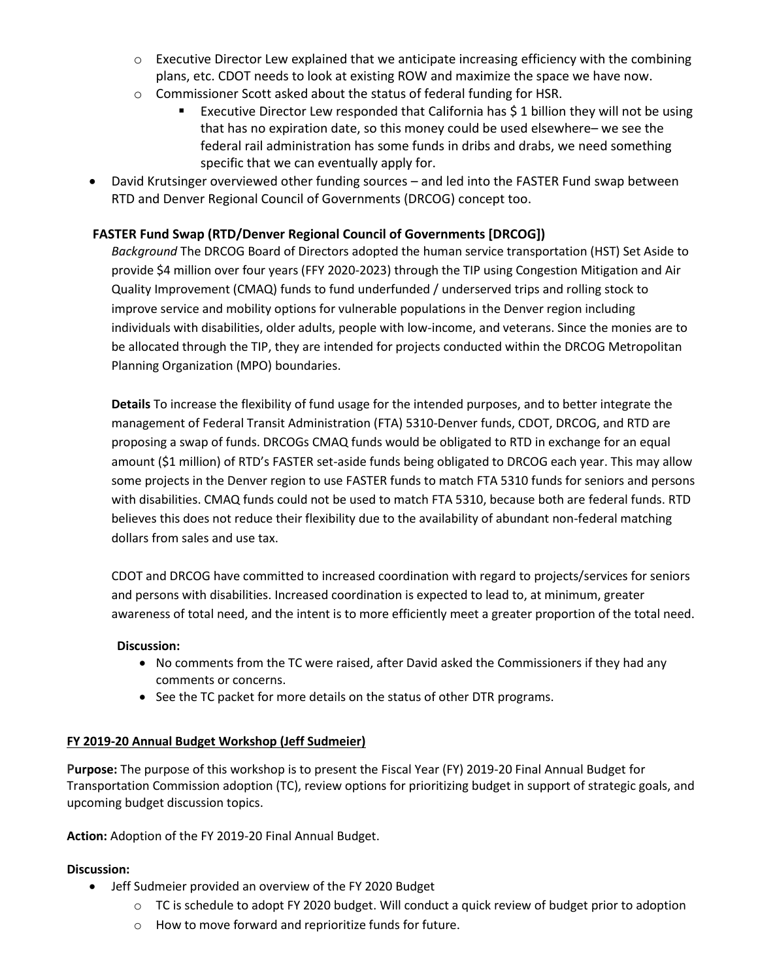- $\circ$  Executive Director Lew explained that we anticipate increasing efficiency with the combining plans, etc. CDOT needs to look at existing ROW and maximize the space we have now.
- o Commissioner Scott asked about the status of federal funding for HSR.
	- Executive Director Lew responded that California has \$ 1 billion they will not be using that has no expiration date, so this money could be used elsewhere– we see the federal rail administration has some funds in dribs and drabs, we need something specific that we can eventually apply for.
- David Krutsinger overviewed other funding sources and led into the FASTER Fund swap between RTD and Denver Regional Council of Governments (DRCOG) concept too.

## **FASTER Fund Swap (RTD/Denver Regional Council of Governments [DRCOG])**

*Background* The DRCOG Board of Directors adopted the human service transportation (HST) Set Aside to provide \$4 million over four years (FFY 2020-2023) through the TIP using Congestion Mitigation and Air Quality Improvement (CMAQ) funds to fund underfunded / underserved trips and rolling stock to improve service and mobility options for vulnerable populations in the Denver region including individuals with disabilities, older adults, people with low-income, and veterans. Since the monies are to be allocated through the TIP, they are intended for projects conducted within the DRCOG Metropolitan Planning Organization (MPO) boundaries.

**Details** To increase the flexibility of fund usage for the intended purposes, and to better integrate the management of Federal Transit Administration (FTA) 5310-Denver funds, CDOT, DRCOG, and RTD are proposing a swap of funds. DRCOGs CMAQ funds would be obligated to RTD in exchange for an equal amount (\$1 million) of RTD's FASTER set-aside funds being obligated to DRCOG each year. This may allow some projects in the Denver region to use FASTER funds to match FTA 5310 funds for seniors and persons with disabilities. CMAQ funds could not be used to match FTA 5310, because both are federal funds. RTD believes this does not reduce their flexibility due to the availability of abundant non-federal matching dollars from sales and use tax.

CDOT and DRCOG have committed to increased coordination with regard to projects/services for seniors and persons with disabilities. Increased coordination is expected to lead to, at minimum, greater awareness of total need, and the intent is to more efficiently meet a greater proportion of the total need.

#### **Discussion:**

- No comments from the TC were raised, after David asked the Commissioners if they had any comments or concerns.
- See the TC packet for more details on the status of other DTR programs.

## **FY 2019-20 Annual Budget Workshop (Jeff Sudmeier)**

**Purpose:** The purpose of this workshop is to present the Fiscal Year (FY) 2019-20 Final Annual Budget for Transportation Commission adoption (TC), review options for prioritizing budget in support of strategic goals, and upcoming budget discussion topics.

**Action:** Adoption of the FY 2019-20 Final Annual Budget.

- Jeff Sudmeier provided an overview of the FY 2020 Budget
	- $\circ$  TC is schedule to adopt FY 2020 budget. Will conduct a quick review of budget prior to adoption
	- o How to move forward and reprioritize funds for future.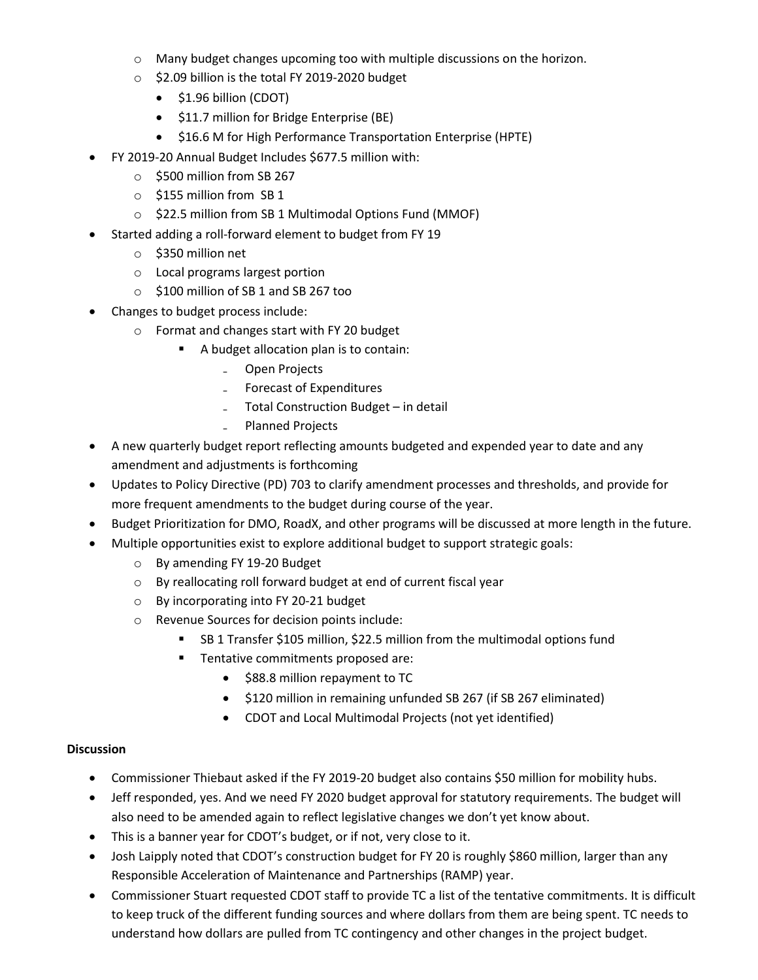- o Many budget changes upcoming too with multiple discussions on the horizon.
- o \$2.09 billion is the total FY 2019-2020 budget
	- $\bullet$  \$1.96 billion (CDOT)
	- **•** \$11.7 million for Bridge Enterprise (BE)
	- $\bullet$  \$16.6 M for High Performance Transportation Enterprise (HPTE)
- FY 2019-20 Annual Budget Includes \$677.5 million with:
	- o \$500 million from SB 267
	- o \$155 million from SB 1
	- o \$22.5 million from SB 1 Multimodal Options Fund (MMOF)
- Started adding a roll-forward element to budget from FY 19
	- o \$350 million net
	- o Local programs largest portion
	- o \$100 million of SB 1 and SB 267 too
- Changes to budget process include:
	- o Format and changes start with FY 20 budget
		- A budget allocation plan is to contain:
			- ₋ Open Projects
			- ₋ Forecast of Expenditures
			- ₋ Total Construction Budget in detail
				- ₋ Planned Projects
- A new quarterly budget report reflecting amounts budgeted and expended year to date and any amendment and adjustments is forthcoming
- Updates to Policy Directive (PD) 703 to clarify amendment processes and thresholds, and provide for more frequent amendments to the budget during course of the year.
- Budget Prioritization for DMO, RoadX, and other programs will be discussed at more length in the future.
- Multiple opportunities exist to explore additional budget to support strategic goals:
	- o By amending FY 19-20 Budget
	- o By reallocating roll forward budget at end of current fiscal year
	- o By incorporating into FY 20-21 budget
	- o Revenue Sources for decision points include:
		- SB 1 Transfer \$105 million, \$22.5 million from the multimodal options fund
		- **Tentative commitments proposed are:** 
			- \$88.8 million repayment to TC
			- $\bullet$  \$120 million in remaining unfunded SB 267 (if SB 267 eliminated)
			- CDOT and Local Multimodal Projects (not yet identified)

- Commissioner Thiebaut asked if the FY 2019-20 budget also contains \$50 million for mobility hubs.
- Jeff responded, yes. And we need FY 2020 budget approval for statutory requirements. The budget will also need to be amended again to reflect legislative changes we don't yet know about.
- This is a banner year for CDOT's budget, or if not, very close to it.
- Josh Laipply noted that CDOT's construction budget for FY 20 is roughly \$860 million, larger than any Responsible Acceleration of Maintenance and Partnerships (RAMP) year.
- Commissioner Stuart requested CDOT staff to provide TC a list of the tentative commitments. It is difficult to keep truck of the different funding sources and where dollars from them are being spent. TC needs to understand how dollars are pulled from TC contingency and other changes in the project budget.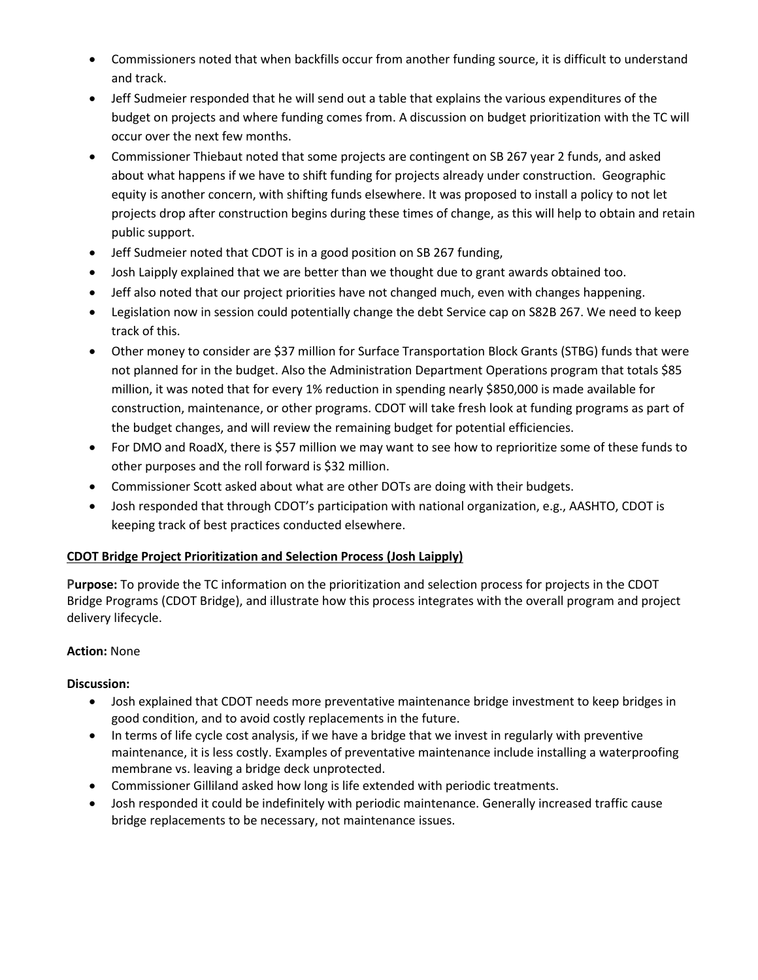- Commissioners noted that when backfills occur from another funding source, it is difficult to understand and track.
- Jeff Sudmeier responded that he will send out a table that explains the various expenditures of the budget on projects and where funding comes from. A discussion on budget prioritization with the TC will occur over the next few months.
- Commissioner Thiebaut noted that some projects are contingent on SB 267 year 2 funds, and asked about what happens if we have to shift funding for projects already under construction. Geographic equity is another concern, with shifting funds elsewhere. It was proposed to install a policy to not let projects drop after construction begins during these times of change, as this will help to obtain and retain public support.
- Jeff Sudmeier noted that CDOT is in a good position on SB 267 funding,
- Josh Laipply explained that we are better than we thought due to grant awards obtained too.
- Jeff also noted that our project priorities have not changed much, even with changes happening.
- Legislation now in session could potentially change the debt Service cap on S82B 267. We need to keep track of this.
- Other money to consider are \$37 million for Surface Transportation Block Grants (STBG) funds that were not planned for in the budget. Also the Administration Department Operations program that totals \$85 million, it was noted that for every 1% reduction in spending nearly \$850,000 is made available for construction, maintenance, or other programs. CDOT will take fresh look at funding programs as part of the budget changes, and will review the remaining budget for potential efficiencies.
- For DMO and RoadX, there is \$57 million we may want to see how to reprioritize some of these funds to other purposes and the roll forward is \$32 million.
- Commissioner Scott asked about what are other DOTs are doing with their budgets.
- Josh responded that through CDOT's participation with national organization, e.g., AASHTO, CDOT is keeping track of best practices conducted elsewhere.

#### **CDOT Bridge Project Prioritization and Selection Process (Josh Laipply)**

**Purpose:** To provide the TC information on the prioritization and selection process for projects in the CDOT Bridge Programs (CDOT Bridge), and illustrate how this process integrates with the overall program and project delivery lifecycle.

#### **Action:** None

- Josh explained that CDOT needs more preventative maintenance bridge investment to keep bridges in good condition, and to avoid costly replacements in the future.
- In terms of life cycle cost analysis, if we have a bridge that we invest in regularly with preventive maintenance, it is less costly. Examples of preventative maintenance include installing a waterproofing membrane vs. leaving a bridge deck unprotected.
- Commissioner Gilliland asked how long is life extended with periodic treatments.
- Josh responded it could be indefinitely with periodic maintenance. Generally increased traffic cause bridge replacements to be necessary, not maintenance issues.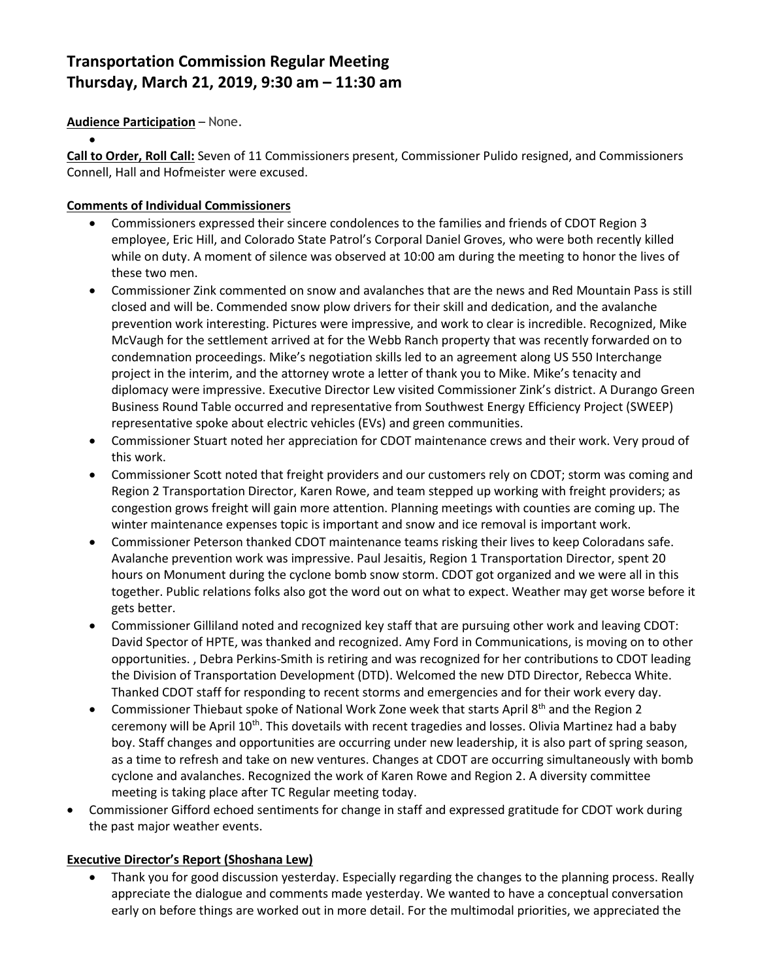# **Transportation Commission Regular Meeting Thursday, March 21, 2019, 9:30 am – 11:30 am**

## **Audience Participation** – None.

 $\bullet$ 

**Call to Order, Roll Call:** Seven of 11 Commissioners present, Commissioner Pulido resigned, and Commissioners Connell, Hall and Hofmeister were excused.

#### **Comments of Individual Commissioners**

- Commissioners expressed their sincere condolences to the families and friends of CDOT Region 3 employee, Eric Hill, and Colorado State Patrol's Corporal Daniel Groves, who were both recently killed while on duty. A moment of silence was observed at 10:00 am during the meeting to honor the lives of these two men.
- Commissioner Zink commented on snow and avalanches that are the news and Red Mountain Pass is still closed and will be. Commended snow plow drivers for their skill and dedication, and the avalanche prevention work interesting. Pictures were impressive, and work to clear is incredible. Recognized, Mike McVaugh for the settlement arrived at for the Webb Ranch property that was recently forwarded on to condemnation proceedings. Mike's negotiation skills led to an agreement along US 550 Interchange project in the interim, and the attorney wrote a letter of thank you to Mike. Mike's tenacity and diplomacy were impressive. Executive Director Lew visited Commissioner Zink's district. A Durango Green Business Round Table occurred and representative from Southwest Energy Efficiency Project (SWEEP) representative spoke about electric vehicles (EVs) and green communities.
- Commissioner Stuart noted her appreciation for CDOT maintenance crews and their work. Very proud of this work.
- Commissioner Scott noted that freight providers and our customers rely on CDOT; storm was coming and Region 2 Transportation Director, Karen Rowe, and team stepped up working with freight providers; as congestion grows freight will gain more attention. Planning meetings with counties are coming up. The winter maintenance expenses topic is important and snow and ice removal is important work.
- Commissioner Peterson thanked CDOT maintenance teams risking their lives to keep Coloradans safe. Avalanche prevention work was impressive. Paul Jesaitis, Region 1 Transportation Director, spent 20 hours on Monument during the cyclone bomb snow storm. CDOT got organized and we were all in this together. Public relations folks also got the word out on what to expect. Weather may get worse before it gets better.
- Commissioner Gilliland noted and recognized key staff that are pursuing other work and leaving CDOT: David Spector of HPTE, was thanked and recognized. Amy Ford in Communications, is moving on to other opportunities. , Debra Perkins-Smith is retiring and was recognized for her contributions to CDOT leading the Division of Transportation Development (DTD). Welcomed the new DTD Director, Rebecca White. Thanked CDOT staff for responding to recent storms and emergencies and for their work every day.
- Commissioner Thiebaut spoke of National Work Zone week that starts April  $8^{th}$  and the Region 2 ceremony will be April 10<sup>th</sup>. This dovetails with recent tragedies and losses. Olivia Martinez had a baby boy. Staff changes and opportunities are occurring under new leadership, it is also part of spring season, as a time to refresh and take on new ventures. Changes at CDOT are occurring simultaneously with bomb cyclone and avalanches. Recognized the work of Karen Rowe and Region 2. A diversity committee meeting is taking place after TC Regular meeting today.
- Commissioner Gifford echoed sentiments for change in staff and expressed gratitude for CDOT work during the past major weather events.

## **Executive Director's Report (Shoshana Lew)**

 Thank you for good discussion yesterday. Especially regarding the changes to the planning process. Really appreciate the dialogue and comments made yesterday. We wanted to have a conceptual conversation early on before things are worked out in more detail. For the multimodal priorities, we appreciated the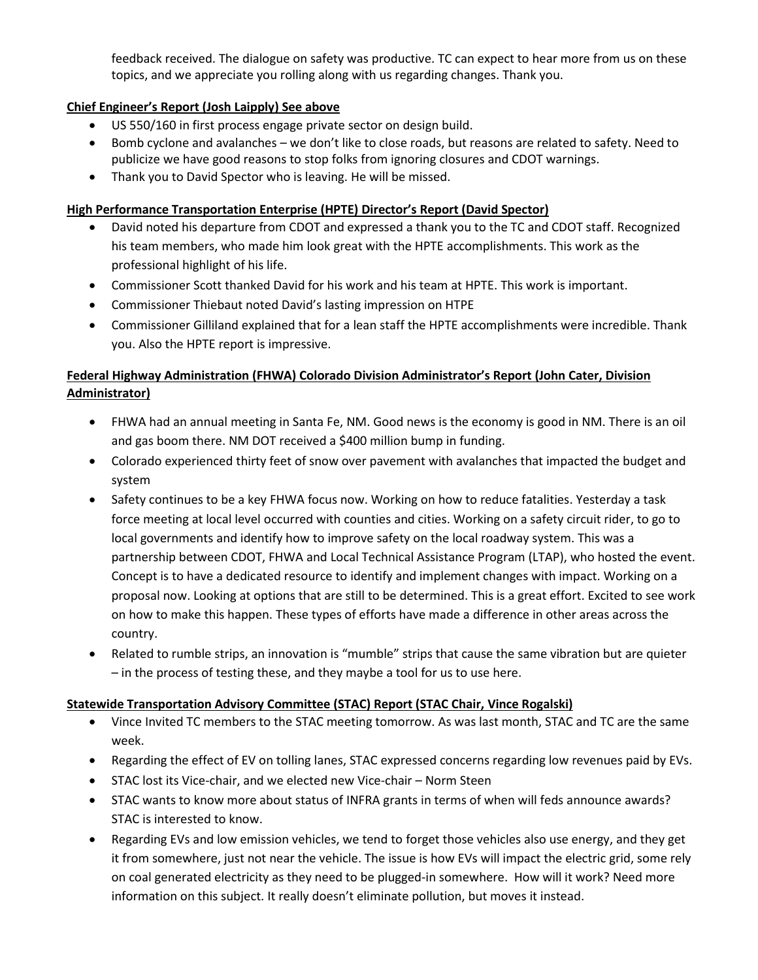feedback received. The dialogue on safety was productive. TC can expect to hear more from us on these topics, and we appreciate you rolling along with us regarding changes. Thank you.

## **Chief Engineer's Report (Josh Laipply) See above**

- US 550/160 in first process engage private sector on design build.
- Bomb cyclone and avalanches we don't like to close roads, but reasons are related to safety. Need to publicize we have good reasons to stop folks from ignoring closures and CDOT warnings.
- Thank you to David Spector who is leaving. He will be missed.

## **High Performance Transportation Enterprise (HPTE) Director's Report (David Spector)**

- David noted his departure from CDOT and expressed a thank you to the TC and CDOT staff. Recognized his team members, who made him look great with the HPTE accomplishments. This work as the professional highlight of his life.
- Commissioner Scott thanked David for his work and his team at HPTE. This work is important.
- Commissioner Thiebaut noted David's lasting impression on HTPE
- Commissioner Gilliland explained that for a lean staff the HPTE accomplishments were incredible. Thank you. Also the HPTE report is impressive.

# **Federal Highway Administration (FHWA) Colorado Division Administrator's Report (John Cater, Division Administrator)**

- FHWA had an annual meeting in Santa Fe, NM. Good news is the economy is good in NM. There is an oil and gas boom there. NM DOT received a \$400 million bump in funding.
- Colorado experienced thirty feet of snow over pavement with avalanches that impacted the budget and system
- Safety continues to be a key FHWA focus now. Working on how to reduce fatalities. Yesterday a task force meeting at local level occurred with counties and cities. Working on a safety circuit rider, to go to local governments and identify how to improve safety on the local roadway system. This was a partnership between CDOT, FHWA and Local Technical Assistance Program (LTAP), who hosted the event. Concept is to have a dedicated resource to identify and implement changes with impact. Working on a proposal now. Looking at options that are still to be determined. This is a great effort. Excited to see work on how to make this happen. These types of efforts have made a difference in other areas across the country.
- Related to rumble strips, an innovation is "mumble" strips that cause the same vibration but are quieter – in the process of testing these, and they maybe a tool for us to use here.

## **Statewide Transportation Advisory Committee (STAC) Report (STAC Chair, Vince Rogalski)**

- Vince Invited TC members to the STAC meeting tomorrow. As was last month, STAC and TC are the same week.
- Regarding the effect of EV on tolling lanes, STAC expressed concerns regarding low revenues paid by EVs.
- STAC lost its Vice-chair, and we elected new Vice-chair Norm Steen
- STAC wants to know more about status of INFRA grants in terms of when will feds announce awards? STAC is interested to know.
- Regarding EVs and low emission vehicles, we tend to forget those vehicles also use energy, and they get it from somewhere, just not near the vehicle. The issue is how EVs will impact the electric grid, some rely on coal generated electricity as they need to be plugged-in somewhere. How will it work? Need more information on this subject. It really doesn't eliminate pollution, but moves it instead.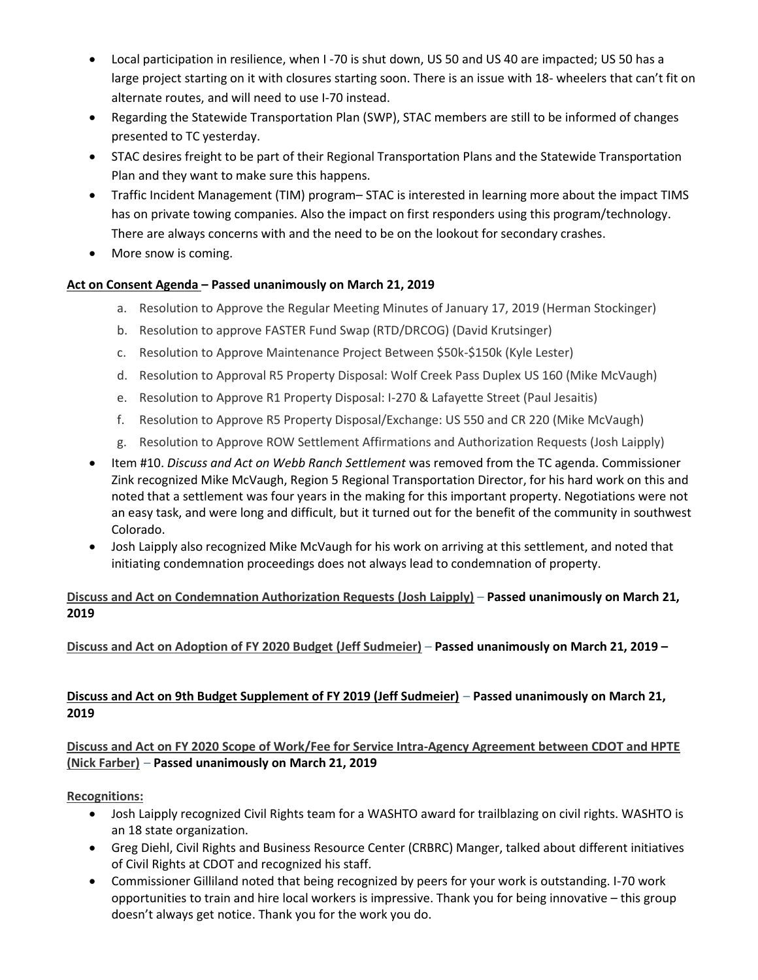- Local participation in resilience, when I -70 is shut down, US 50 and US 40 are impacted; US 50 has a large project starting on it with closures starting soon. There is an issue with 18- wheelers that can't fit on alternate routes, and will need to use I-70 instead.
- Regarding the Statewide Transportation Plan (SWP), STAC members are still to be informed of changes presented to TC yesterday.
- STAC desires freight to be part of their Regional Transportation Plans and the Statewide Transportation Plan and they want to make sure this happens.
- Traffic Incident Management (TIM) program– STAC is interested in learning more about the impact TIMS has on private towing companies. Also the impact on first responders using this program/technology. There are always concerns with and the need to be on the lookout for secondary crashes.
- More snow is coming.

# **Act on Consent Agenda – Passed unanimously on March 21, 2019**

- a. Resolution to Approve the Regular Meeting Minutes of January 17, 2019 (Herman Stockinger)
- b. Resolution to approve FASTER Fund Swap (RTD/DRCOG) (David Krutsinger)
- c. Resolution to Approve Maintenance Project Between \$50k-\$150k (Kyle Lester)
- d. Resolution to Approval R5 Property Disposal: Wolf Creek Pass Duplex US 160 (Mike McVaugh)
- e. Resolution to Approve R1 Property Disposal: I-270 & Lafayette Street (Paul Jesaitis)
- f. Resolution to Approve R5 Property Disposal/Exchange: US 550 and CR 220 (Mike McVaugh)
- g. Resolution to Approve ROW Settlement Affirmations and Authorization Requests (Josh Laipply)
- Item #10. *Discuss and Act on Webb Ranch Settlement* was removed from the TC agenda. Commissioner Zink recognized Mike McVaugh, Region 5 Regional Transportation Director, for his hard work on this and noted that a settlement was four years in the making for this important property. Negotiations were not an easy task, and were long and difficult, but it turned out for the benefit of the community in southwest Colorado.
- Josh Laipply also recognized Mike McVaugh for his work on arriving at this settlement, and noted that initiating condemnation proceedings does not always lead to condemnation of property.

## **Discuss and Act on Condemnation Authorization Requests (Josh Laipply)** – **Passed unanimously on March 21, 2019**

**Discuss and Act on Adoption of FY 2020 Budget (Jeff Sudmeier)** – **Passed unanimously on March 21, 2019 –**

## **[Discuss and Act on 9th Budget Supplement of FY 2019 \(Jeff Sudmeier\)](https://www.codot.gov/about/transportation-commission/documents/2018-agendas-and-supporting-documents/december-2018/8-budget-sup.pdf)** – **Passed unanimously on March 21, 2019**

# **[Discuss and Act on FY 2020 Scope](https://www.codot.gov/about/transportation-commission/documents/2018-agendas-and-supporting-documents/december-2018/8-budget-sup.pdf) of Work/Fee for Service Intra-Agency Agreement between CDOT and HPTE (Nick Farber)** – **Passed unanimously on March 21, 2019**

**Recognitions:**

- Josh Laipply recognized Civil Rights team for a WASHTO award for trailblazing on civil rights. WASHTO is an 18 state organization.
- Greg Diehl, Civil Rights and Business Resource Center (CRBRC) Manger, talked about different initiatives of Civil Rights at CDOT and recognized his staff.
- Commissioner Gilliland noted that being recognized by peers for your work is outstanding. I-70 work opportunities to train and hire local workers is impressive. Thank you for being innovative – this group doesn't always get notice. Thank you for the work you do.